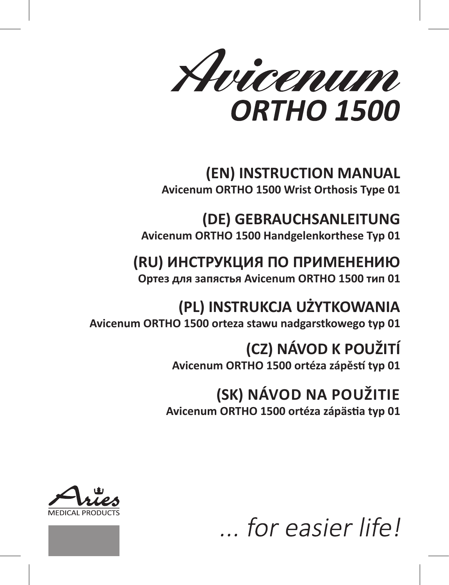

# **(EN) INSTRUCTION MANUAL Avicenum ORTHO 1500 Wrist Orthosis Type 01**

**(DE) GEBRAUCHSANLEITUNG Avicenum ORTHO 1500 Handgelenkorthese Typ 01**

# **(RU) ИНСТРУКЦИЯ ПО ПРИМЕНЕНИЮ**

**Ортез для запястья Avicenum ORTHO 1500 тип 01**

**(PL) INSTRUKCJA UŻYTKOWANIA Avicenum ORTHO 1500 orteza stawu nadgarstkowego typ 01**

> **(CZ) NÁVOD K POUŽITÍ Avicenum ORTHO 1500 ortéza zápěstí typ 01**

**(SK) NÁVOD NA POUŽITIE Avicenum ORTHO 1500 ortéza zápästia typ 01**



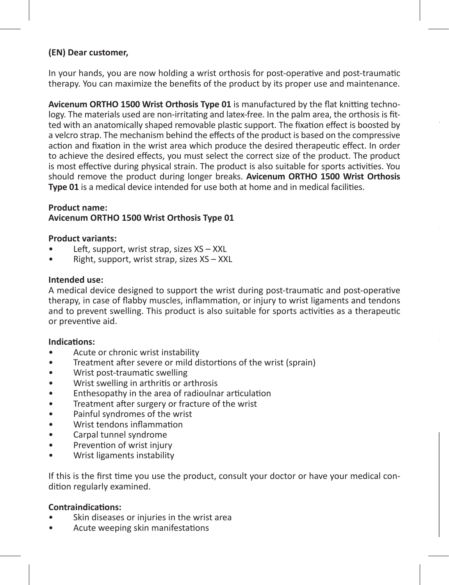#### **(EN) Dear customer,**

In your hands, you are now holding a wrist orthosis for post-operative and post-traumatic therapy. You can maximize the benefits of the product by its proper use and maintenance.

**Avicenum ORTHO 1500 Wrist Orthosis Type 01** is manufactured by the flat knitting technology. The materials used are non-irritating and latex-free. In the palm area, the orthosis is fitted with an anatomically shaped removable plastic support. The fixation effect is boosted by a velcro strap. The mechanism behind the effects of the product is based on the compressive action and fixation in the wrist area which produce the desired therapeutic effect. In order to achieve the desired effects, you must select the correct size of the product. The product is most effective during physical strain. The product is also suitable for sports activities. You should remove the product during longer breaks. **Avicenum ORTHO 1500 Wrist Orthosis Type 01** is a medical device intended for use both at home and in medical facilities.

#### **Product name: Avicenum ORTHO 1500 Wrist Orthosis Type 01**

#### **Product variants:**

- Left, support, wrist strap, sizes XS XXL
- Right, support, wrist strap, sizes XS XXL

#### **Intended use:**

A medical device designed to support the wrist during post-traumatic and post-operative therapy, in case of flabby muscles, inflammation, or injury to wrist ligaments and tendons and to prevent swelling. This product is also suitable for sports activities as a therapeutic or preventive aid.

#### **Indications:**

- Acute or chronic wrist instability
- Treatment after severe or mild distortions of the wrist (sprain)
- Wrist post-traumatic swelling
- Wrist swelling in arthritis or arthrosis
- Enthesopathy in the area of radioulnar articulation
- Treatment after surgery or fracture of the wrist
- Painful syndromes of the wrist
- Wrist tendons inflammation
- Carpal tunnel syndrome
- Prevention of wrist injury
- Wrist ligaments instability

If this is the first time you use the product, consult your doctor or have your medical condition regularly examined.

#### **Contraindications:**

- Skin diseases or injuries in the wrist area
- Acute weeping skin manifestations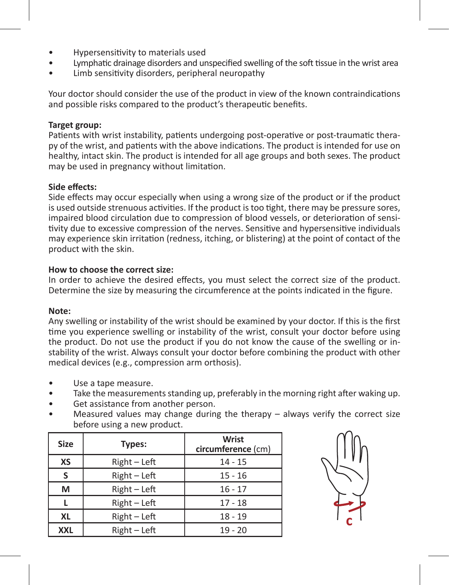- Hypersensitivity to materials used
- Lymphatic drainage disorders and unspecified swelling of the soft tissue in the wrist area
- Limb sensitivity disorders, peripheral neuropathy

Your doctor should consider the use of the product in view of the known contraindications and possible risks compared to the product's therapeutic benefits.

#### **Target group:**

Patients with wrist instability, patients undergoing post-operative or post-traumatic therapy of the wrist, and patients with the above indications. The product is intended for use on healthy, intact skin. The product is intended for all age groups and both sexes. The product may be used in pregnancy without limitation.

#### **Side effects:**

Side effects may occur especially when using a wrong size of the product or if the product is used outside strenuous activities. If the product is too tight, there may be pressure sores, impaired blood circulation due to compression of blood vessels, or deterioration of sensitivity due to excessive compression of the nerves. Sensitive and hypersensitive individuals may experience skin irritation (redness, itching, or blistering) at the point of contact of the product with the skin.

#### **How to choose the correct size:**

In order to achieve the desired effects, you must select the correct size of the product. Determine the size by measuring the circumference at the points indicated in the figure.

#### **Note:**

Any swelling or instability of the wrist should be examined by your doctor. If this is the first time you experience swelling or instability of the wrist, consult your doctor before using the product. Do not use the product if you do not know the cause of the swelling or instability of the wrist. Always consult your doctor before combining the product with other medical devices (e.g., compression arm orthosis).

- Use a tape measure.
- Take the measurements standing up, preferably in the morning right after waking up.
- Get assistance from another person.
- Measured values may change during the therapy  $-$  always verify the correct size before using a new product.

| <b>Size</b> | Types:       | Wrist<br>circumference (cm) |  |
|-------------|--------------|-----------------------------|--|
| XS          | Right - Left | $14 - 15$                   |  |
| s           | Right - Left | $15 - 16$                   |  |
| м           | Right - Left | $16 - 17$                   |  |
|             | Right - Left | $17 - 18$                   |  |
| XL          | Right - Left | $18 - 19$                   |  |
| <b>XXL</b>  | Right - Left | $19 - 20$                   |  |

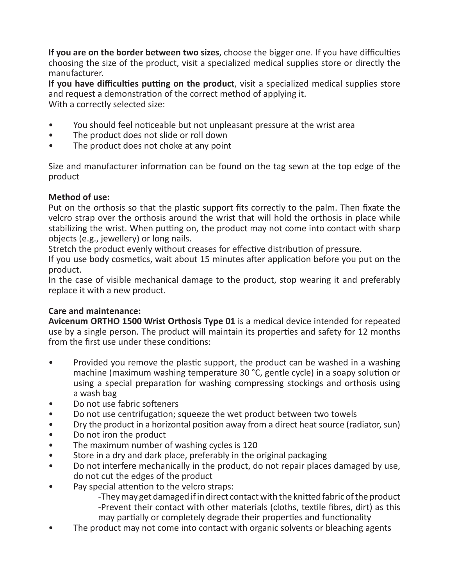**If you are on the border between two sizes**, choose the bigger one. If you have difficulties choosing the size of the product, visit a specialized medical supplies store or directly the manufacturer.

**If you have difficulties putting on the product**, visit a specialized medical supplies store and request a demonstration of the correct method of applying it. With a correctly selected size:

- You should feel noticeable but not unpleasant pressure at the wrist area
- The product does not slide or roll down
- The product does not choke at any point

Size and manufacturer information can be found on the tag sewn at the top edge of the product

# **Method of use:**

Put on the orthosis so that the plastic support fits correctly to the palm. Then fixate the velcro strap over the orthosis around the wrist that will hold the orthosis in place while stabilizing the wrist. When putting on, the product may not come into contact with sharp objects (e.g., jewellery) or long nails.

Stretch the product evenly without creases for effective distribution of pressure.

If you use body cosmetics, wait about 15 minutes after application before you put on the product.

In the case of visible mechanical damage to the product, stop wearing it and preferably replace it with a new product.

# **Care and maintenance:**

**Avicenum ORTHO 1500 Wrist Orthosis Type 01** is a medical device intended for repeated use by a single person. The product will maintain its properties and safety for 12 months from the first use under these conditions:

- Provided you remove the plastic support, the product can be washed in a washing machine (maximum washing temperature 30 °C, gentle cycle) in a soapy solution or using a special preparation for washing compressing stockings and orthosis using a wash bag
- Do not use fabric softeners
- Do not use centrifugation; squeeze the wet product between two towels
- Dry the product in a horizontal position away from a direct heat source (radiator, sun)
- Do not iron the product
- The maximum number of washing cycles is 120
- Store in a dry and dark place, preferably in the original packaging
- Do not interfere mechanically in the product, do not repair places damaged by use, do not cut the edges of the product
- Pay special attention to the velcro straps:

-They may get damaged if in direct contact with the knitted fabric of the product -Prevent their contact with other materials (cloths, textile fibres, dirt) as this may partially or completely degrade their properties and functionality

The product may not come into contact with organic solvents or bleaching agents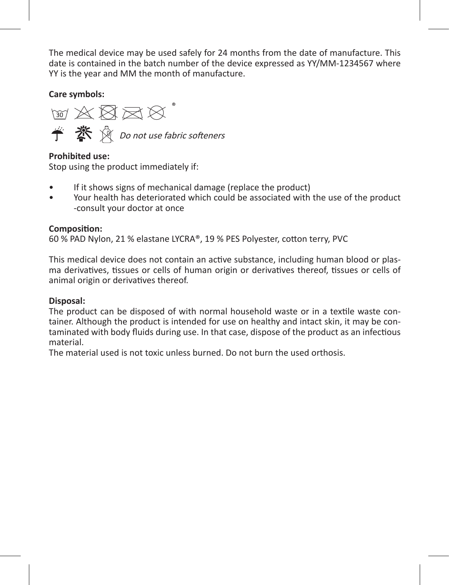The medical device may be used safely for 24 months from the date of manufacture. This date is contained in the batch number of the device expressed as YY/MM-1234567 where YY is the year and MM the month of manufacture.

**Care symbols:** 

**M A 图 M &** Do not use fabric softeners

**Prohibited use:**

Stop using the product immediately if:

- If it shows signs of mechanical damage (replace the product)
- Your health has deteriorated which could be associated with the use of the product -consult your doctor at once

# **Composition:**

60 % PAD Nylon, 21 % elastane LYCRA®, 19 % PES Polyester, cotton terry, PVC

This medical device does not contain an active substance, including human blood or plasma derivatives, tissues or cells of human origin or derivatives thereof, tissues or cells of animal origin or derivatives thereof.

# **Disposal:**

The product can be disposed of with normal household waste or in a textile waste container. Although the product is intended for use on healthy and intact skin, it may be contaminated with body fluids during use. In that case, dispose of the product as an infectious material.

The material used is not toxic unless burned. Do not burn the used orthosis.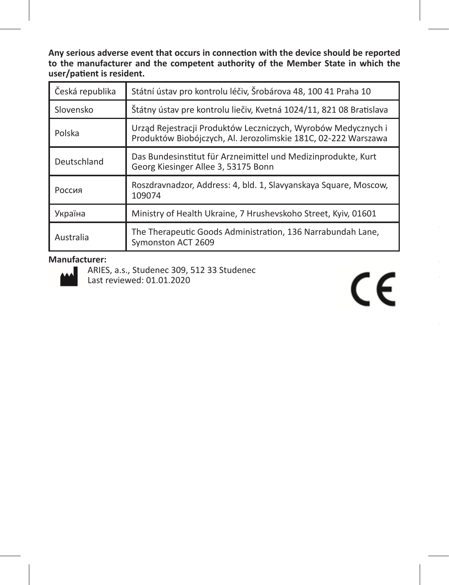**Any serious adverse event that occurs in connection with the device should be reported to the manufacturer and the competent authority of the Member State in which the user/patient is resident.**

| Česká republika | Státní ústav pro kontrolu léčiv, Šrobárova 48, 100 41 Praha 10                                                                  |  |
|-----------------|---------------------------------------------------------------------------------------------------------------------------------|--|
| Slovensko       | Štátny ústav pre kontrolu liečiv, Kvetná 1024/11, 821 08 Bratislava                                                             |  |
| Polska          | Urząd Rejestracji Produktów Leczniczych, Wyrobów Medycznych i<br>Produktów Biobójczych, Al. Jerozolimskie 181C, 02-222 Warszawa |  |
| Deutschland     | Das Bundesinstitut für Arzneimittel und Medizinprodukte, Kurt<br>Georg Kiesinger Allee 3, 53175 Bonn                            |  |
| Россия          | Roszdravnadzor, Address: 4, bld. 1, Slavyanskaya Square, Moscow,<br>109074                                                      |  |
| Україна         | Ministry of Health Ukraine, 7 Hrushevskoho Street, Kyiv, 01601                                                                  |  |
| Australia       | The Therapeutic Goods Administration, 136 Narrabundah Lane,<br>Symonston ACT 2609                                               |  |

#### **Manufacturer:**



ARIES, a.s., Studenec 309, 512 33 Studenec Last reviewed: 01.01.2020

# $C \in$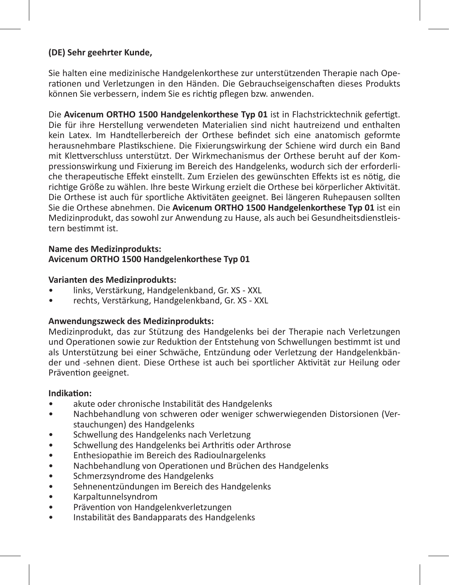# **(DE) Sehr geehrter Kunde,**

Sie halten eine medizinische Handgelenkorthese zur unterstützenden Therapie nach Operationen und Verletzungen in den Händen. Die Gebrauchseigenschaften dieses Produkts können Sie verbessern, indem Sie es richtig pflegen bzw. anwenden.

Die **Avicenum ORTHO 1500 Handgelenkorthese Typ 01** ist in Flachstricktechnik gefertigt. Die für ihre Herstellung verwendeten Materialien sind nicht hautreizend und enthalten kein Latex. Im Handtellerbereich der Orthese befindet sich eine anatomisch geformte herausnehmbare Plastikschiene. Die Fixierungswirkung der Schiene wird durch ein Band mit Klettverschluss unterstützt. Der Wirkmechanismus der Orthese beruht auf der Kompressionswirkung und Fixierung im Bereich des Handgelenks, wodurch sich der erforderliche therapeutische Effekt einstellt. Zum Erzielen des gewünschten Effekts ist es nötig, die richtige Größe zu wählen. Ihre beste Wirkung erzielt die Orthese bei körperlicher Aktivität. Die Orthese ist auch für sportliche Aktivitäten geeignet. Bei längeren Ruhepausen sollten Sie die Orthese abnehmen. Die **Avicenum ORTHO 1500 Handgelenkorthese Typ 01** ist ein Medizinprodukt, das sowohl zur Anwendung zu Hause, als auch bei Gesundheitsdienstleistern bestimmt ist.

#### **Name des Medizinprodukts: Avicenum ORTHO 1500 Handgelenkorthese Typ 01**

#### **Varianten des Medizinprodukts:**

- links, Verstärkung, Handgelenkband, Gr. XS XXL
- rechts, Verstärkung, Handgelenkband, Gr. XS XXL

#### **Anwendungszweck des Medizinprodukts:**

Medizinprodukt, das zur Stützung des Handgelenks bei der Therapie nach Verletzungen und Operationen sowie zur Reduktion der Entstehung von Schwellungen bestimmt ist und als Unterstützung bei einer Schwäche, Entzündung oder Verletzung der Handgelenkbänder und -sehnen dient. Diese Orthese ist auch bei sportlicher Aktivität zur Heilung oder Prävention geeignet.

#### **Indikation:**

- akute oder chronische Instabilität des Handgelenks
- Nachbehandlung von schweren oder weniger schwerwiegenden Distorsionen (Verstauchungen) des Handgelenks
- Schwellung des Handgelenks nach Verletzung
- Schwellung des Handgelenks bei Arthritis oder Arthrose
- Enthesiopathie im Bereich des Radioulnargelenks
- Nachbehandlung von Operationen und Brüchen des Handgelenks
- Schmerzsyndrome des Handgelenks
- Sehnenentzündungen im Bereich des Handgelenks
- Karpaltunnelsyndrom
- Prävention von Handgelenkverletzungen
- Instabilität des Bandapparats des Handgelenks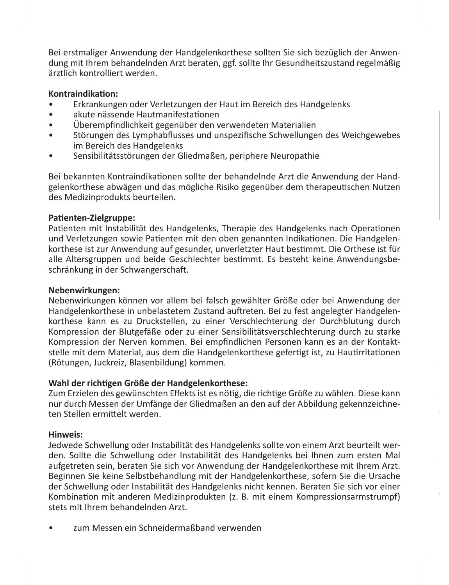Bei erstmaliger Anwendung der Handgelenkorthese sollten Sie sich bezüglich der Anwendung mit Ihrem behandelnden Arzt beraten, ggf. sollte Ihr Gesundheitszustand regelmäßig ärztlich kontrolliert werden.

#### **Kontraindikation:**

- Erkrankungen oder Verletzungen der Haut im Bereich des Handgelenks
- akute nässende Hautmanifestationen
- Überempfindlichkeit gegenüber den verwendeten Materialien
- Störungen des Lymphabflusses und unspezifische Schwellungen des Weichgewebes im Bereich des Handgelenks
- Sensibilitätsstörungen der Gliedmaßen, periphere Neuropathie

Bei bekannten Kontraindikationen sollte der behandelnde Arzt die Anwendung der Handgelenkorthese abwägen und das mögliche Risiko gegenüber dem therapeutischen Nutzen des Medizinprodukts beurteilen.

#### **Patienten-Zielgruppe:**

Patienten mit Instabilität des Handgelenks, Therapie des Handgelenks nach Operationen und Verletzungen sowie Patienten mit den oben genannten Indikationen. Die Handgelenkorthese ist zur Anwendung auf gesunder, unverletzter Haut bestimmt. Die Orthese ist für alle Altersgruppen und beide Geschlechter bestimmt. Es besteht keine Anwendungsbeschränkung in der Schwangerschaft.

#### **Nebenwirkungen:**

Nebenwirkungen können vor allem bei falsch gewählter Größe oder bei Anwendung der Handgelenkorthese in unbelastetem Zustand auftreten. Bei zu fest angelegter Handgelenkorthese kann es zu Druckstellen, zu einer Verschlechterung der Durchblutung durch Kompression der Blutgefäße oder zu einer Sensibilitätsverschlechterung durch zu starke Kompression der Nerven kommen. Bei empfindlichen Personen kann es an der Kontaktstelle mit dem Material, aus dem die Handgelenkorthese gefertigt ist, zu Hautirritationen (Rötungen, Juckreiz, Blasenbildung) kommen.

# **Wahl der richtigen Größe der Handgelenkorthese:**

Zum Erzielen des gewünschten Effekts ist es nötig, die richtige Größe zu wählen. Diese kann nur durch Messen der Umfänge der Gliedmaßen an den auf der Abbildung gekennzeichneten Stellen ermittelt werden.

# **Hinweis:**

Jedwede Schwellung oder Instabilität des Handgelenks sollte von einem Arzt beurteilt werden. Sollte die Schwellung oder Instabilität des Handgelenks bei Ihnen zum ersten Mal aufgetreten sein, beraten Sie sich vor Anwendung der Handgelenkorthese mit Ihrem Arzt. Beginnen Sie keine Selbstbehandlung mit der Handgelenkorthese, sofern Sie die Ursache der Schwellung oder Instabilität des Handgelenks nicht kennen. Beraten Sie sich vor einer Kombination mit anderen Medizinprodukten (z. B. mit einem Kompressionsarmstrumpf) stets mit Ihrem behandelnden Arzt.

zum Messen ein Schneidermaßband verwenden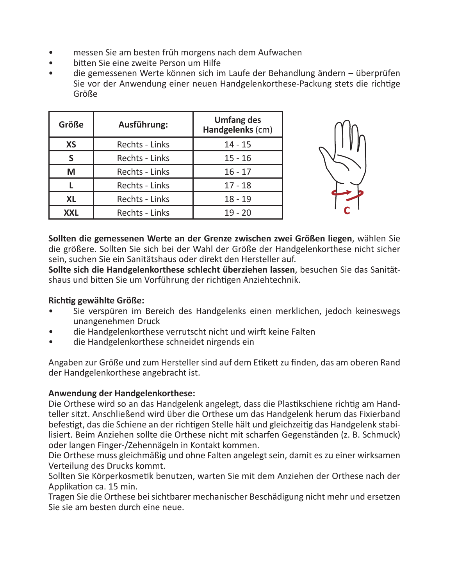- messen Sie am besten früh morgens nach dem Aufwachen
- bitten Sie eine zweite Person um Hilfe
- die gemessenen Werte können sich im Laufe der Behandlung ändern überprüfen Sie vor der Anwendung einer neuen Handgelenkorthese-Packung stets die richtige Größe

| Größe     | Ausführung:    | <b>Umfang des</b><br>Handgelenks (cm) |
|-----------|----------------|---------------------------------------|
| XS        | Rechts - Links | $14 - 15$                             |
|           | Rechts - Links | $15 - 16$                             |
| м         | Rechts - Links | $16 - 17$                             |
|           | Rechts - Links | $17 - 18$                             |
| <b>XL</b> | Rechts - Links | $18 - 19$                             |
| XXL       | Rechts - Links | $19 - 20$                             |



**Sollten die gemessenen Werte an der Grenze zwischen zwei Größen liegen**, wählen Sie die größere. Sollten Sie sich bei der Wahl der Größe der Handgelenkorthese nicht sicher sein, suchen Sie ein Sanitätshaus oder direkt den Hersteller auf.

**Sollte sich die Handgelenkorthese schlecht überziehen lassen**, besuchen Sie das Sanitätshaus und bitten Sie um Vorführung der richtigen Anziehtechnik.

# **Richtig gewählte Größe:**

- Sie verspüren im Bereich des Handgelenks einen merklichen, jedoch keineswegs unangenehmen Druck
- die Handgelenkorthese verrutscht nicht und wirft keine Falten
- die Handgelenkorthese schneidet nirgends ein

Angaben zur Größe und zum Hersteller sind auf dem Etikett zu finden, das am oberen Rand der Handgelenkorthese angebracht ist.

# **Anwendung der Handgelenkorthese:**

Die Orthese wird so an das Handgelenk angelegt, dass die Plastikschiene richtig am Handteller sitzt. Anschließend wird über die Orthese um das Handgelenk herum das Fixierband befestigt, das die Schiene an der richtigen Stelle hält und gleichzeitig das Handgelenk stabilisiert. Beim Anziehen sollte die Orthese nicht mit scharfen Gegenständen (z. B. Schmuck) oder langen Finger-/Zehennägeln in Kontakt kommen.

Die Orthese muss gleichmäßig und ohne Falten angelegt sein, damit es zu einer wirksamen Verteilung des Drucks kommt.

Sollten Sie Körperkosmetik benutzen, warten Sie mit dem Anziehen der Orthese nach der Applikation ca. 15 min.

Tragen Sie die Orthese bei sichtbarer mechanischer Beschädigung nicht mehr und ersetzen Sie sie am besten durch eine neue.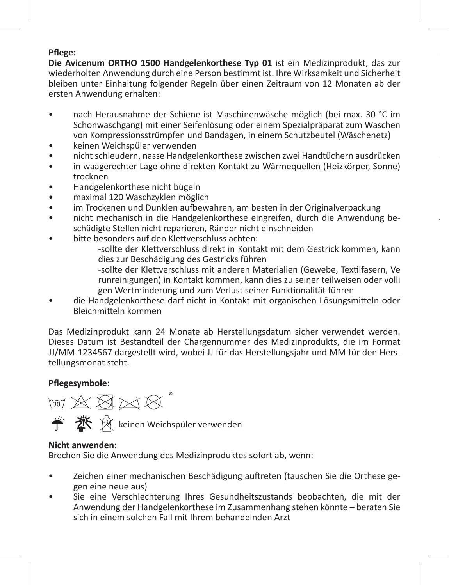#### **Pflege:**

**Die Avicenum ORTHO 1500 Handgelenkorthese Typ 01** ist ein Medizinprodukt, das zur wiederholten Anwendung durch eine Person bestimmt ist. Ihre Wirksamkeit und Sicherheit bleiben unter Einhaltung folgender Regeln über einen Zeitraum von 12 Monaten ab der ersten Anwendung erhalten:

- nach Herausnahme der Schiene ist Maschinenwäsche möglich (bei max. 30 °C im Schonwaschgang) mit einer Seifenlösung oder einem Spezialpräparat zum Waschen von Kompressionsstrümpfen und Bandagen, in einem Schutzbeutel (Wäschenetz)
- keinen Weichspüler verwenden
- nicht schleudern, nasse Handgelenkorthese zwischen zwei Handtüchern ausdrücken
- in waagerechter Lage ohne direkten Kontakt zu Wärmequellen (Heizkörper, Sonne) trocknen
- Handgelenkorthese nicht bügeln
- maximal 120 Waschzyklen möglich
- im Trockenen und Dunklen aufbewahren, am besten in der Originalverpackung
- nicht mechanisch in die Handgelenkorthese eingreifen, durch die Anwendung beschädigte Stellen nicht reparieren, Ränder nicht einschneiden
- bitte besonders auf den Klettverschluss achten:

-sollte der Klettverschluss direkt in Kontakt mit dem Gestrick kommen, kann dies zur Beschädigung des Gestricks führen

**Jedwedes schwerwiegende unerwünschte Vorkommnis, zu dem es im Zusammenhang** 

-sollte der Klettverschluss mit anderen Materialien (Gewebe, Textilfasern, Ve runreinigungen) in Kontakt kommen, kann dies zu seiner teilweisen oder völli gen Wertminderung und zum Verlust seiner Funktionalität führen

• die Handgelenkorthese darf nicht in Kontakt mit organischen Lösungsmitteln oder Bleichmitteln kommen

Das Medizinprodukt kann 24 Monate ab Herstellungsdatum sicher verwendet werden. Dieses Datum ist Bestandteil der Chargennummer des Medizinprodukts, die im Format JJ/MM-1234567 dargestellt wird, wobei JJ für das Herstellungsjahr und MM für den Herstellungsmonat steht.

# **Pflegesymbole:**



#### **Nicht anwenden:**

Brechen Sie die Anwendung des Medizinproduktes sofort ab, wenn:

- Zeichen einer mechanischen Beschädigung auftreten (tauschen Sie die Orthese gegen eine neue aus)
- Sie eine Verschlechterung Ihres Gesundheitszustands beobachten, die mit der Anwendung der Handgelenkorthese im Zusammenhang stehen könnte – beraten Sie sich in einem solchen Fall mit Ihrem behandelnden Arzt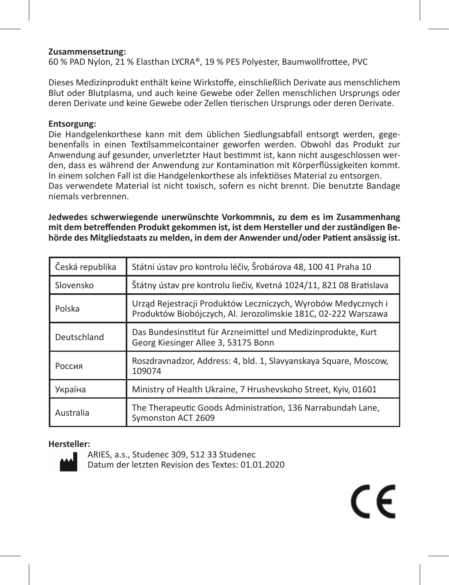#### **Zusammensetzung:**

60 % PAD Nylon, 21 % Elasthan LYCRA®, 19 % PES Polyester, Baumwollfrottee, PVC

Dieses Medizinprodukt enthält keine Wirkstoffe, einschließlich Derivate aus menschlichem Blut oder Blutplasma, und auch keine Gewebe oder Zellen menschlichen Ursprungs oder deren Derivate und keine Gewebe oder Zellen tierischen Ursprungs oder deren Derivate.

#### **Entsorgung:**

Die Handgelenkorthese kann mit dem üblichen Siedlungsabfall entsorgt werden, gegebenenfalls in einen Textilsammelcontainer geworfen werden. Obwohl das Produkt zur Anwendung auf gesunder, unverletzter Haut bestimmt ist, kann nicht ausgeschlossen werden, dass es während der Anwendung zur Kontamination mit Körperflüssigkeiten kommt. In einem solchen Fall ist die Handgelenkorthese als infektiöses Material zu entsorgen. Das verwendete Material ist nicht toxisch, sofern es nicht brennt. Die benutzte Bandage niemals verbrennen.

**Jedwedes schwerwiegende unerwünschte Vorkommnis, zu dem es im Zusammenhang mit dem betreffenden Produkt gekommen ist, ist dem Hersteller und der zuständigen Behörde des Mitgliedstaats zu melden, in dem der Anwender und/oder Patient ansässig ist.**

| Česká republika | Státní ústav pro kontrolu léčiv, Šrobárova 48, 100 41 Praha 10                                                                  |  |
|-----------------|---------------------------------------------------------------------------------------------------------------------------------|--|
| Slovensko       | Štátny ústav pre kontrolu liečiv, Kvetná 1024/11, 821 08 Bratislava                                                             |  |
| Polska          | Urząd Rejestracji Produktów Leczniczych, Wyrobów Medycznych i<br>Produktów Biobójczych, Al. Jerozolimskie 181C, 02-222 Warszawa |  |
| Deutschland     | Das Bundesinstitut für Arzneimittel und Medizinprodukte, Kurt<br>Georg Kiesinger Allee 3, 53175 Bonn                            |  |
| Россия          | Roszdravnadzor, Address: 4, bld. 1, Slavyanskaya Square, Moscow,<br>109074                                                      |  |
| Україна         | Ministry of Health Ukraine, 7 Hrushevskoho Street, Kyiv, 01601                                                                  |  |
| Australia       | The Therapeutic Goods Administration, 136 Narrabundah Lane,<br>Symonston ACT 2609                                               |  |

 $\epsilon$ 

#### **Hersteller:**



ARIES, a.s., Studenec 309, 512 33 Studenec Datum der letzten Revision des Textes: 01.01.2020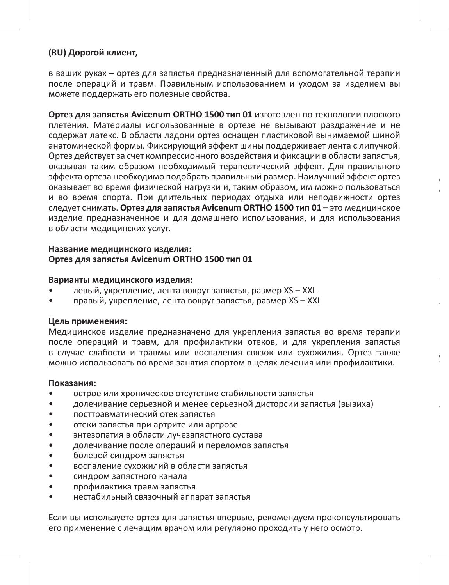#### **(RU) Дорогой клиент,**

в ваших руках – ортез для запястья предназначенный для вспомогательной терапии после операций и травм. Правильным использованием и уходом за изделием вы можете поддержать его полезные свойства.

**Ортез для запястья Avicenum ORTHO 1500 тип 01** изготовлен по технологии плоского плетения. Материалы использованные в ортезе не вызывают раздражение и не содержат латекс. В области ладони ортез оснащен пластиковой вынимаемой шиной анатомической формы. Фиксирующий эффект шины поддерживает лента с липучкой. Ортез действует за счет компрессионного воздействия и фиксации в области запястья, оказывая таким образом необходимый терапевтический эффект. Для правильного эффекта ортеза необходимо подобрать правильный размер. Наилучший эффект ортез оказывает во время физической нагрузки и, таким образом, им можно пользоваться и во время спорта. При длительных периодах отдыха или неподвижности ортез следует снимать. **Ортез для запястья Avicenum ORTHO 1500 тип 01** – это медицинское изделие предназначенное и для домашнего использования, и для использования в области медицинских услуг.

**Для кого предназначен ортез:** 

Для пациентов с нестабильным запястьем, для терапии после травм и операций и для

Для правильного эффекта ортеза необходимо подобрать правильный размер. Для

#### **Название медицинского изделия: Ортез для запястья Avicenum ORTHO 1500 тип 01**

#### **Варианты медицинского изделия:**

- левый, укрепление, лента вокруг запястья, размер XS XXL
- правый, укрепление, лента вокруг запястья, размер XS XXL

#### **Цель применения:**

Медицинское изделие предназначено для укрепления запястья во время терапии после операций и травм, для профилактики отеков, и для укрепления запястья в случае слабости и травмы или воспаления связок или сухожилия. Ортез также можно использовать во время занятия спортом в целях лечения или профилактики.

#### **Показания:**

- острое или хроническое отсутствие стабильности запястья
- долечивание серьезной и менее серьезной дисторсии запястья (вывиха)
- посттравматический отек запястья
- отеки запястья при артрите или артрозе
- энтезопатия в области лучезапястного сустава
- долечивание после операций и переломов запястья
- болевой синдром запястья
- воспаление сухожилий в области запястья
- синдром запястного канала
- профилактика травм запястья
- нестабильный связочный аппарат запястья

Если вы используете ортез для запястья впервые, рекомендуем проконсультировать его применение с лечащим врачом или регулярно проходить у него осмотр.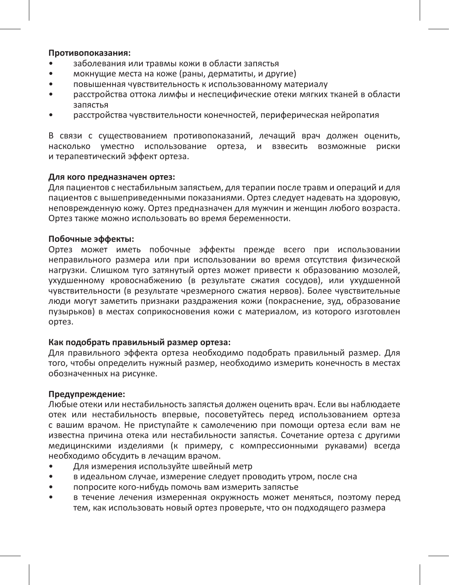#### **Противопоказания:**

- заболевания или травмы кожи в области запястья
- мокнущие места на коже (раны, дерматиты, и другие)
- повышенная чувствительность к использованному материалу
- расстройства оттока лимфы и неспецифические отеки мягких тканей в области запястья
- расстройства чувствительности конечностей, периферическая нейропатия

В связи с существованием противопоказаний, лечащий врач должен оценить, насколько уместно использование ортеза, и взвесить возможные риски и терапевтический эффект ортеза.

#### **Для кого предназначен ортез:**

Для пациентов с нестабильным запястьем, для терапии после травм и операций и для пациентов с вышеприведенными показаниями. Ортез следует надевать на здоровую, неповрежденную кожу. Ортез предназначен для мужчин и женщин любого возраста. Ортез также можно использовать во время беременности.

#### **Побочные эффекты:**

Ортез может иметь побочные эффекты прежде всего при использовании неправильного размера или при использовании во время отсутствия физической нагрузки. Слишком туго затянутый ортез может привести к образованию мозолей, ухудшенному кровоснабжению (в результате сжатия сосудов), или ухудшенной чувствительности (в результате чрезмерного сжатия нервов). Более чувствительные люди могут заметить признаки раздражения кожи (покраснение, зуд, образование пузырьков) в местах соприкосновения кожи с материалом, из которого изготовлен ортез.

#### **Как подобрать правильный размер ортеза:**

Для правильного эффекта ортеза необходимо подобрать правильный размер. Для того, чтобы определить нужный размер, необходимо измерить конечность в местах обозначенных на рисунке.

#### **Предупреждение:**

Любые отеки или нестабильность запястья должен оценить врач. Если вы наблюдаете отек или нестабильность впервые, посоветуйтесь перед использованием ортеза с вашим врачом. Не приступайте к самолечению при помощи ортеза если вам не известна причина отека или нестабильности запястья. Сочетание ортеза с другими медицинскими изделиями (к примеру, с компрессионными рукавами) всегда необходимо обсудить в лечащим врачом.

- Для измерения используйте швейный метр
- в идеальном случае, измерение следует проводить утром, после сна
- попросите кого-нибудь помочь вам измерить запястье
- в течение лечения измеренная окружность может меняться, поэтому перед тем, как использовать новый ортез проверьте, что он подходящего размера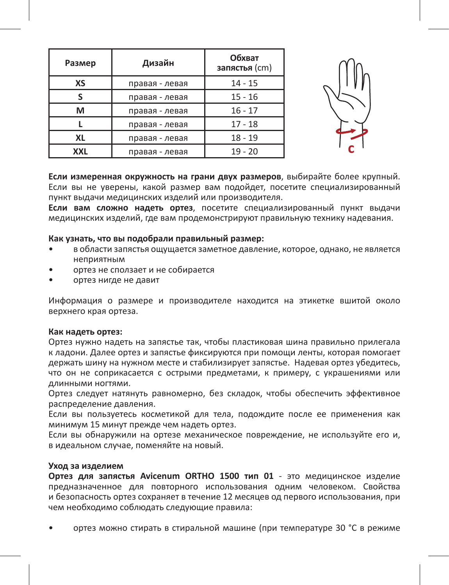| Размер     | Дизайн         | Обхват<br>запястья (cm) |  |
|------------|----------------|-------------------------|--|
| ХS         | правая - левая | $14 - 15$               |  |
|            | правая - левая | $15 - 16$               |  |
| м          | правая - левая | $16 - 17$               |  |
|            | правая - левая | $17 - 18$               |  |
| XL         | правая - левая | $18 - 19$               |  |
| <b>XXL</b> | правая - левая | $19 - 20$               |  |



**Если измеренная окружность на грани двух размеров**, выбирайте более крупный. Если вы не уверены, какой размер вам подойдет, посетите специализированный пункт выдачи медицинских изделий или производителя.

**Если вам сложно надеть ортез**, посетите специализированный пункт выдачи медицинских изделий, где вам продемонстрируют правильную технику надевания.

#### **Как узнать, что вы подобрали правильный размер:**

- в области запястья ощущается заметное давление, которое, однако, не является неприятным
- ортез не сползает и не собирается
- ортез нигде не давит

Информация о размере и производителе находится на этикетке вшитой около верхнего края ортеза.

#### **Как надеть ортез:**

Ортез нужно надеть на запястье так, чтобы пластиковая шина правильно прилегала к ладони. Далее ортез и запястье фиксируются при помощи ленты, которая помогает держать шину на нужном месте и стабилизирует запястье. Надевая ортез убедитесь, что он не соприкасается с острыми предметами, к примеру, с украшениями или длинными ногтями.

Ортез следует натянуть равномерно, без складок, чтобы обеспечить эффективное распределение давления.

Если вы пользуетесь косметикой для тела, подождите после ее применения как минимум 15 минут прежде чем надеть ортез.

Если вы обнаружили на ортезе механическое повреждение, не используйте его и, в идеальном случае, поменяйте на новый.

#### **Уход за изделием**

**Ортез для запястья Avicenum ORTHO 1500 тип 01** - это медицинское изделие предназначенное для повторного использования одним человеком. Свойства и безопасность ортез сохраняет в течение 12 месяцев од первого использования, при чем необходимо соблюдать следующие правила:

• ортез можно стирать в стиральной машине (при температуре 30 °C в режиме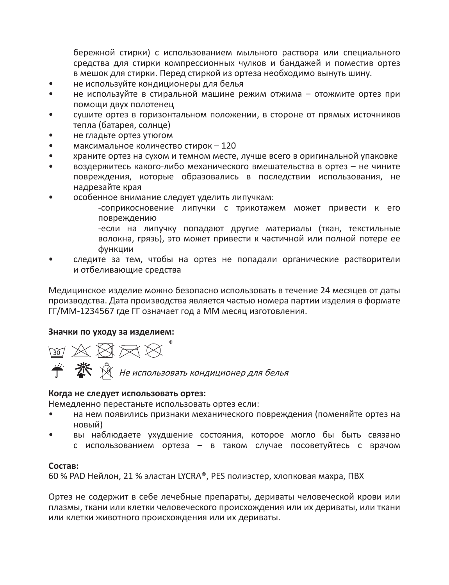бережной стирки) с использованием мыльного раствора или специального средства для стирки компрессионных чулков и бандажей и поместив ортез в мешок для стирки. Перед стиркой из ортеза необходимо вынуть шину.

- не используйте кондиционеры для белья
- не используйте в стиральной машине режим отжима отожмите ортез при помощи двух полотенец
- сушите ортез в горизонтальном положении, в стороне от прямых источников тепла (батарея, солнце)
- не гладьте ортез утюгом
- максимальное количество стирок 120
- храните ортез на сухом и темном месте, лучше всего в оригинальной упаковке
- воздержитесь какого-либо механического вмешательства в ортез не чините повреждения, которые образовались в последствии использования, не надрезайте края
- особенное внимание следует уделить липучкам:

-соприкосновение липучки с трикотажем может привести к его повреждению

-если на липучку попадают другие материалы (ткан, текстильные волокна, грязь), это может привести к частичной или полной потере ее функции

• следите за тем, чтобы на ортез не попадали органические растворители и отбеливающие средства

Медицинское изделие можно безопасно использовать в течение 24 месяцев от даты производства. Дата производства является частью номера партии изделия в формате ГГ/ММ-1234567 где ГГ означает год а ММ месяц изготовления.

#### **Значки по уходу за изделием:**

™ ※ ⊠ ≅ ⊠ " Не использовать кондиционер для белья

#### **Когда не следует использовать ортез:**

Немедленно перестаньте использовать ортез если:

- на нем появились признаки механического повреждения (поменяйте ортез на новый)
	- вы наблюдаете ухудшение состояния, которое могло бы быть связано с использованием ортеза – в таком случае посоветуйтесь с врачом

#### **Состав:**

60 % PAD Нейлон, 21 % эластан LYCRA®, PES полиэстер, хлопковая махра, ПВХ

Ортез не содержит в себе лечебные препараты, дериваты человеческой крови или плазмы, ткани или клетки человеческого происхождения или их дериваты, или ткани или клетки животного происхождения или их дериваты.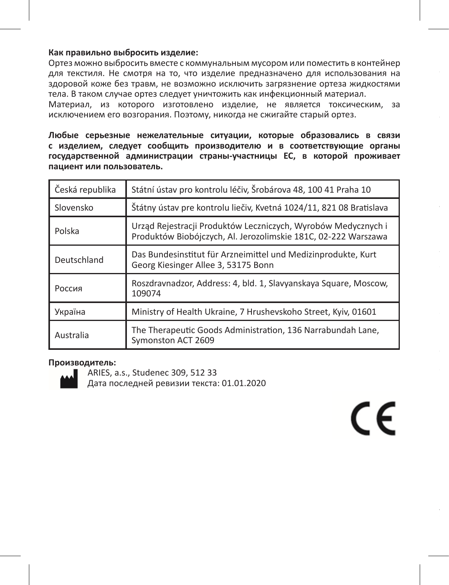#### **Как правильно выбросить изделие:**

Ортез можно выбросить вместе с коммунальным мусором или поместить в контейнер для текстиля. Не смотря на то, что изделие предназначено для использования на здоровой коже без травм, не возможно исключить загрязнение ортеза жидкостями тела. В таком случае ортез следует уничтожить как инфекционный материал.

Материал, из которого изготовлено изделие, не является токсическим, за исключением его возгорания. Поэтому, никогда не сжигайте старый ортез.

**Любые серьезные нежелательные ситуации, которые образовались в связи с изделием, следует сообщить производителю и в соответствующие органы государственной администрации страны-участницы ЕС, в которой проживает пациент или пользователь.**

| Česká republika | Státní ústav pro kontrolu léčiv, Šrobárova 48, 100 41 Praha 10                                                                  |  |
|-----------------|---------------------------------------------------------------------------------------------------------------------------------|--|
| Slovensko       | Štátny ústav pre kontrolu liečiv, Kvetná 1024/11, 821 08 Bratislava                                                             |  |
| Polska          | Urząd Rejestracji Produktów Leczniczych, Wyrobów Medycznych i<br>Produktów Biobójczych, Al. Jerozolimskie 181C, 02-222 Warszawa |  |
| Deutschland     | Das Bundesinstitut für Arzneimittel und Medizinprodukte, Kurt<br>Georg Kiesinger Allee 3, 53175 Bonn                            |  |
| Россия          | Roszdravnadzor, Address: 4, bld. 1, Slavyanskaya Square, Moscow,<br>109074                                                      |  |
| Україна         | Ministry of Health Ukraine, 7 Hrushevskoho Street, Kyiv, 01601                                                                  |  |
| Australia       | The Therapeutic Goods Administration, 136 Narrabundah Lane,<br>Symonston ACT 2609                                               |  |

 $\epsilon$ 

#### **Производитель:**



ARIES, a.s., Studenec 309, 512 33 Дата последней ревизии текста: 01.01.2020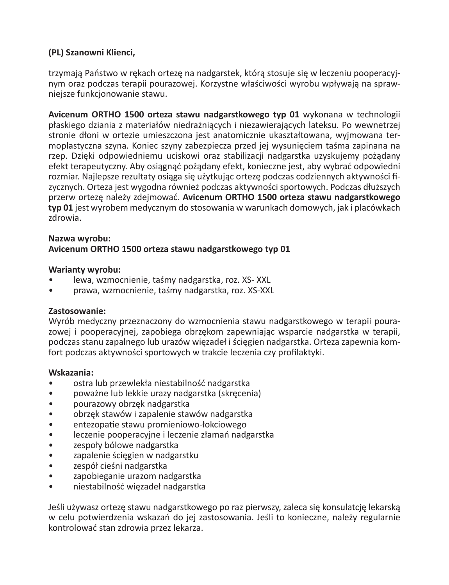# **(PL) Szanowni Klienci,**

trzymają Państwo w rękach ortezę na nadgarstek, którą stosuje się w leczeniu pooperacyjnym oraz podczas terapii pourazowej. Korzystne właściwości wyrobu wpływają na sprawniejsze funkcjonowanie stawu.

**Avicenum ORTHO 1500 orteza stawu nadgarstkowego typ 01** wykonana w technologii płaskiego dziania z materiałów niedrażniących i niezawierających lateksu. Po wewnetrzej stronie dłoni w ortezie umieszczona jest anatomicznie ukaształtowana, wyjmowana termoplastyczna szyna. Koniec szyny zabezpiecza przed jej wysunięciem taśma zapinana na rzep. Dzięki odpowiedniemu uciskowi oraz stabilizacji nadgarstka uzyskujemy pożądany efekt terapeutyczny. Aby osiągnąć pożądany efekt, konieczne jest, aby wybrać odpowiedni rozmiar. Najlepsze rezultaty osiąga się użytkując ortezę podczas codziennych aktywności fizycznych. Orteza jest wygodna również podczas aktywności sportowych. Podczas dłuższych przerw ortezę należy zdejmować. **Avicenum ORTHO 1500 orteza stawu nadgarstkowego typ 01** jest wyrobem medycznym do stosowania w warunkach domowych, jak i placówkach zdrowia.

#### **Nazwa wyrobu: Avicenum ORTHO 1500 orteza stawu nadgarstkowego typ 01**

#### **Warianty wyrobu:**

- lewa, wzmocnienie, taśmy nadgarstka, roz. XS- XXL
- prawa, wzmocnienie, taśmy nadgarstka, roz. XS-XXL

#### **Zastosowanie:**

Wyrób medyczny przeznaczony do wzmocnienia stawu nadgarstkowego w terapii pourazowej i pooperacyjnej, zapobiega obrzękom zapewniając wsparcie nadgarstka w terapii, podczas stanu zapalnego lub urazów więzadeł i ścięgien nadgarstka. Orteza zapewnia komfort podczas aktywności sportowych w trakcie leczenia czy profilaktyki.

#### **Wskazania:**

- ostra lub przewlekła niestabilność nadgarstka
- poważne lub lekkie urazy nadgarstka (skręcenia)
- pourazowy obrzęk nadgarstka
- obrzęk stawów i zapalenie stawów nadgarstka
- entezopatie stawu promieniowo-łokciowego
- leczenie pooperacyjne i leczenie złamań nadgarstka
- zespoły bólowe nadgarstka
- zapalenie ścięgien w nadgarstku
- zespół cieśni nadgarstka
- zapobieganie urazom nadgarstka
- niestabilność więzadeł nadgarstka

Jeśli używasz ortezę stawu nadgarstkowego po raz pierwszy, zaleca się konsulatcję lekarską w celu potwierdzenia wskazań do jej zastosowania. Jeśli to konieczne, należy regularnie kontrolować stan zdrowia przez lekarza.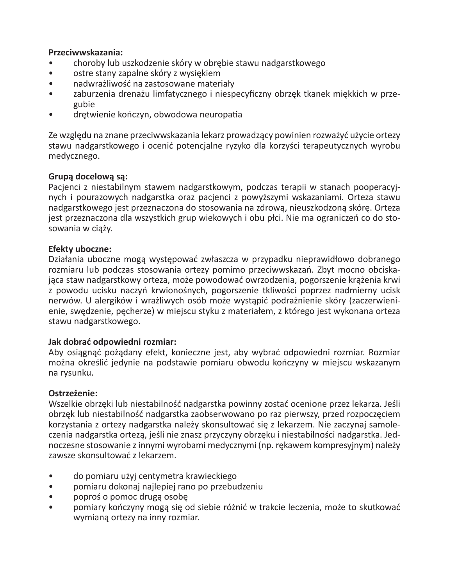#### **Przeciwwskazania:**

- choroby lub uszkodzenie skóry w obrębie stawu nadgarstkowego
- ostre stany zapalne skóry z wysiękiem
- nadwrażliwość na zastosowane materiały
- zaburzenia drenażu limfatycznego i niespecyficzny obrzęk tkanek miękkich w przegubie
- drętwienie kończyn, obwodowa neuropatia

Ze względu na znane przeciwwskazania lekarz prowadzący powinien rozważyć użycie ortezy stawu nadgarstkowego i ocenić potencjalne ryzyko dla korzyści terapeutycznych wyrobu medycznego.

# **Grupą docelową są:**

Pacjenci z niestabilnym stawem nadgarstkowym, podczas terapii w stanach pooperacyjnych i pourazowych nadgarstka oraz pacjenci z powyższymi wskazaniami. Orteza stawu nadgarstkowego jest przeznaczona do stosowania na zdrową, nieuszkodzoną skórę. Orteza jest przeznaczona dla wszystkich grup wiekowych i obu płci. Nie ma ograniczeń co do stosowania w ciąży.

#### **Efekty uboczne:**

Działania uboczne mogą występować zwłaszcza w przypadku nieprawidłowo dobranego rozmiaru lub podczas stosowania ortezy pomimo przeciwwskazań. Zbyt mocno obciskająca staw nadgarstkowy orteza, może powodować owrzodzenia, pogorszenie krążenia krwi z powodu ucisku naczyń krwionośnych, pogorszenie tkliwości poprzez nadmierny ucisk nerwów. U alergików i wrażliwych osób może wystąpić podrażnienie skóry (zaczerwienienie, swędzenie, pęcherze) w miejscu styku z materiałem, z którego jest wykonana orteza stawu nadgarstkowego.

#### **Jak dobrać odpowiedni rozmiar:**

Aby osiągnąć pożądany efekt, konieczne jest, aby wybrać odpowiedni rozmiar. Rozmiar można określić jedynie na podstawie pomiaru obwodu kończyny w miejscu wskazanym na rysunku.

#### **Ostrzeżenie:**

Wszelkie obrzęki lub niestabilność nadgarstka powinny zostać ocenione przez lekarza. Jeśli obrzęk lub niestabilność nadgarstka zaobserwowano po raz pierwszy, przed rozpoczęciem korzystania z ortezy nadgarstka należy skonsultować się z lekarzem. Nie zaczynaj samoleczenia nadgarstka ortezą, jeśli nie znasz przyczyny obrzęku i niestabilności nadgarstka. Jednoczesne stosowanie z innymi wyrobami medycznymi (np. rękawem kompresyjnym) należy zawsze skonsultować z lekarzem.

- do pomiaru użyj centymetra krawieckiego
- pomiaru dokonaj najlepiej rano po przebudzeniu
- poproś o pomoc drugą osobę
- pomiary kończyny mogą się od siebie różnić w trakcie leczenia, może to skutkować wymianą ortezy na inny rozmiar.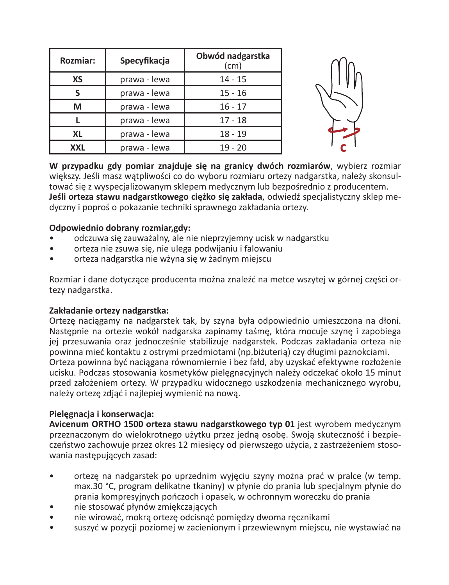| Rozmiar:   | Specyfikacja | Obwód nadgarstka<br>(cm) |  |
|------------|--------------|--------------------------|--|
| XS         | prawa - lewa | $14 - 15$                |  |
|            | prawa - lewa | $15 - 16$                |  |
| м          | prawa - lewa | $16 - 17$                |  |
|            | prawa - lewa | $17 - 18$                |  |
| XL         | prawa - lewa | $18 - 19$                |  |
| <b>XXL</b> | prawa - lewa | $19 - 20$                |  |



**W przypadku gdy pomiar znajduje się na granicy dwóch rozmiarów**, wybierz rozmiar większy. Jeśli masz wątpliwości co do wyboru rozmiaru ortezy nadgarstka, należy skonsultować się z wyspecjalizowanym sklepem medycznym lub bezpośrednio z producentem. **Jeśli orteza stawu nadgarstkowego ciężko się zakłada**, odwiedź specjalistyczny sklep medyczny i poproś o pokazanie techniki sprawnego zakładania ortezy.

#### **Odpowiednio dobrany rozmiar,gdy:**

- odczuwa się zauważalny, ale nie nieprzyjemny ucisk w nadgarstku
- orteza nie zsuwa się, nie ulega podwijaniu i falowaniu
- orteza nadgarstka nie wżyna się w żadnym miejscu

Rozmiar i dane dotyczące producenta można znaleźć na metce wszytej w górnej części ortezy nadgarstka.

#### **Zakładanie ortezy nadgarstka:**

Ortezę naciągamy na nadgarstek tak, by szyna była odpowiednio umieszczona na dłoni. Następnie na ortezie wokół nadgarska zapinamy taśmę, która mocuje szynę i zapobiega jej przesuwania oraz jednocześnie stabilizuje nadgarstek. Podczas zakładania orteza nie powinna mieć kontaktu z ostrymi przedmiotami (np.biżuterią) czy długimi paznokciami. Orteza powinna być naciągana równomiernie i bez fałd, aby uzyskać efektywne rozłożenie ucisku. Podczas stosowania kosmetyków pielęgnacyjnych należy odczekać około 15 minut przed założeniem ortezy. W przypadku widocznego uszkodzenia mechanicznego wyrobu, należy ortezę zdjąć i najlepiej wymienić na nową.

# **Pielęgnacja i konserwacja:**

**Avicenum ORTHO 1500 orteza stawu nadgarstkowego typ 01** jest wyrobem medycznym przeznaczonym do wielokrotnego użytku przez jedną osobę. Swoją skuteczność i bezpieczeństwo zachowuje przez okres 12 miesięcy od pierwszego użycia, z zastrzeżeniem stosowania następujących zasad:

- ortezę na nadgarstek po uprzednim wyjęciu szyny można prać w pralce (w temp. max.30 °C, program delikatne tkaniny) w płynie do prania lub specjalnym płynie do prania kompresyjnych pończoch i opasek, w ochronnym woreczku do prania
- nie stosować płynów zmiękczających
- nie wirować, mokrą ortezę odcisnąć pomiędzy dwoma ręcznikami
- suszyć w pozycji poziomej w zacienionym i przewiewnym miejscu, nie wystawiać na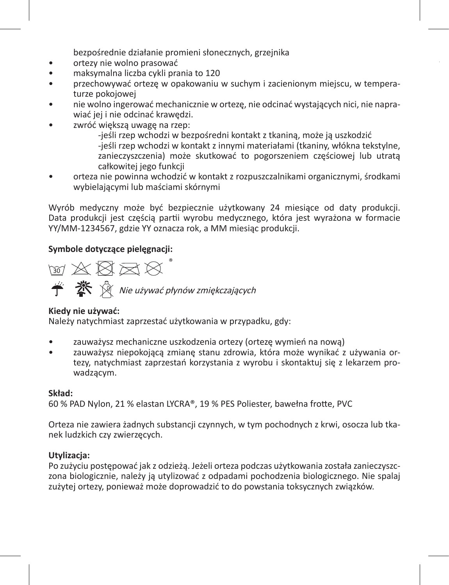bezpośrednie działanie promieni słonecznych, grzejnika

- ortezy nie wolno prasować
- maksymalna liczba cykli prania to 120
- przechowywać ortezę w opakowaniu w suchym i zacienionym miejscu, w temperaturze pokojowej
- nie wolno ingerować mechanicznie w ortezę, nie odcinać wystających nici, nie naprawiać jej i nie odcinać krawędzi.
- zwróć większą uwagę na rzep:

-jeśli rzep wchodzi w bezpośredni kontakt z tkaniną, może ją uszkodzić -jeśli rzep wchodzi w kontakt z innymi materiałami (tkaniny, włókna tekstylne, zanieczyszczenia) może skutkować to pogorszeniem częściowej lub utratą całkowitej jego funkcji

• orteza nie powinna wchodzić w kontakt z rozpuszczalnikami organicznymi, środkami wybielającymi lub maściami skórnymi

Wyrób medyczny może być bezpiecznie użytkowany 24 miesiące od daty produkcji. Data produkcji jest częścią partii wyrobu medycznego, która jest wyrażona w formacie YY/MM-1234567, gdzie YY oznacza rok, a MM miesiąc produkcji.

#### **Symbole dotyczące pielęgnacji:**

™☆☆☆☆  $\stackrel{\longrightarrow}{\bullet} \stackrel{\text{W}}{\bullet} \stackrel{\text{W}}{\otimes}$  Nie używać płynów zmiękczających

#### **Kiedy nie używać:**

Należy natychmiast zaprzestać użytkowania w przypadku, gdy:

- zauważysz mechaniczne uszkodzenia ortezy (ortezę wymień na nową)
- zauważysz niepokojącą zmianę stanu zdrowia, która może wynikać z używania ortezy, natychmiast zaprzestań korzystania z wyrobu i skontaktuj się z lekarzem prowadzącym.

#### **Skład:**

60 % PAD Nylon, 21 % elastan LYCRA®, 19 % PES Poliester, bawełna frotte, PVC

Orteza nie zawiera żadnych substancji czynnych, w tym pochodnych z krwi, osocza lub tkanek ludzkich czy zwierzęcych.

#### **Utylizacja:**

Po zużyciu postępować jak z odzieżą. Jeżeli orteza podczas użytkowania została zanieczyszczona biologicznie, należy ją utylizować z odpadami pochodzenia biologicznego. Nie spalaj zużytej ortezy, ponieważ może doprowadzić to do powstania toksycznych związków.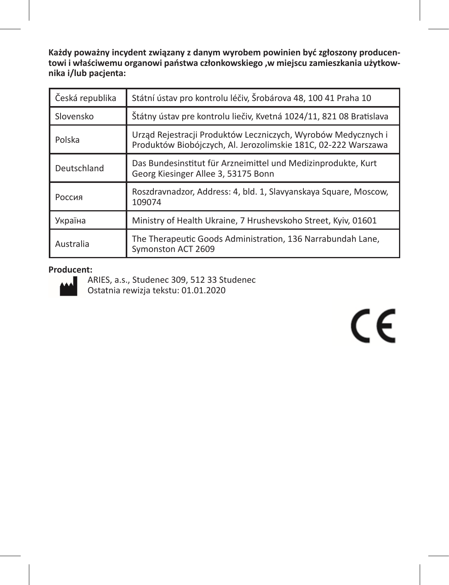**Każdy poważny incydent związany z danym wyrobem powinien być zgłoszony producentowi i właściwemu organowi państwa członkowskiego ,w miejscu zamieszkania użytkownika i/lub pacjenta:**

| Česká republika | Státní ústav pro kontrolu léčiv, Šrobárova 48, 100 41 Praha 10                                                                  |  |
|-----------------|---------------------------------------------------------------------------------------------------------------------------------|--|
| Slovensko       | Štátny ústav pre kontrolu liečiv, Kvetná 1024/11, 821 08 Bratislava                                                             |  |
| Polska          | Urząd Rejestracji Produktów Leczniczych, Wyrobów Medycznych i<br>Produktów Biobójczych, Al. Jerozolimskie 181C, 02-222 Warszawa |  |
| Deutschland     | Das Bundesinstitut für Arzneimittel und Medizinprodukte, Kurt<br>Georg Kiesinger Allee 3, 53175 Bonn                            |  |
| Россия          | Roszdravnadzor, Address: 4, bld. 1, Slavyanskaya Square, Moscow,<br>109074                                                      |  |
| Україна         | Ministry of Health Ukraine, 7 Hrushevskoho Street, Kyiv, 01601                                                                  |  |
| Australia       | The Therapeutic Goods Administration, 136 Narrabundah Lane,<br>Symonston ACT 2609                                               |  |

# **Producent:**



ARIES, a.s., Studenec 309, 512 33 Studenec Ostatnia rewizja tekstu: 01.01.2020

# $C \in$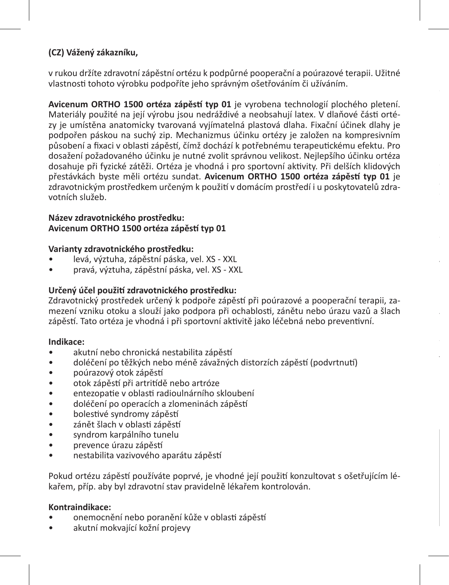# **(CZ) Vážený zákazníku,**

v rukou držíte zdravotní zápěstní ortézu k podpůrné pooperační a poúrazové terapii. Užitné vlastnosti tohoto výrobku podpoříte jeho správným ošetřováním či užíváním.

**Avicenum ORTHO 1500 ortéza zápěstí typ 01** je vyrobena technologií plochého pletení. Materiály použité na její výrobu jsou nedráždivé a neobsahují latex. V dlaňové části ortézy je umístěna anatomicky tvarovaná vyjímatelná plastová dlaha. Fixační účinek dlahy je podpořen páskou na suchý zip. Mechanizmus účinku ortézy je založen na kompresivním působení a fixaci v oblasti zápěstí, čímž dochází k potřebnému terapeutickému efektu. Pro dosažení požadovaného účinku je nutné zvolit správnou velikost. Nejlepšího účinku ortéza dosahuje při fyzické zátěži. Ortéza je vhodná i pro sportovní aktivity. Při delších klidových přestávkách byste měli ortézu sundat. **Avicenum ORTHO 1500 ortéza zápěstí typ 01** je zdravotnickým prostředkem určeným k použití v domácím prostředí i u poskytovatelů zdravotních služeb.

#### **Název zdravotnického prostředku: Avicenum ORTHO 1500 ortéza zápěstí typ 01**

#### **Varianty zdravotnického prostředku:**

- levá, výztuha, zápěstní páska, vel. XS XXL
- pravá, výztuha, zápěstní páska, vel. XS XXL

# **Určený účel použití zdravotnického prostředku:**

Zdravotnický prostředek určený k podpoře zápěstí při poúrazové a pooperační terapii, zamezení vzniku otoku a slouží jako podpora při ochablosti, zánětu nebo úrazu vazů a šlach zápěstí. Tato ortéza je vhodná i při sportovní aktivitě jako léčebná nebo preventivní.

**Jak zvolit správnou velikost zápěstní ortézy:**

#### **Indikace:**

- akutní nebo chronická nestabilita zápěstí
- doléčení po těžkých nebo méně závažných distorzích zápěstí (podvrtnutí)
- poúrazový otok zápěstí
- otok zápěstí při artritídě nebo artróze
- entezopatie v oblasti radioulnárního skloubení
- doléčení po operacích a zlomeninách zápěstí
- bolestivé syndromy zápěstí
- zánět šlach v oblasti zápěstí
- syndrom karpálního tunelu
- prevence úrazu zápěstí
- nestabilita vazivového aparátu zápěstí

Pokud ortézu zápěstí používáte poprvé, je vhodné její použití konzultovat s ošetřujícím lékařem, příp. aby byl zdravotní stav pravidelně lékařem kontrolován.

#### **Kontraindikace:**

- onemocnění nebo poranění kůže v oblasti zápěstí
- akutní mokvající kožní projevy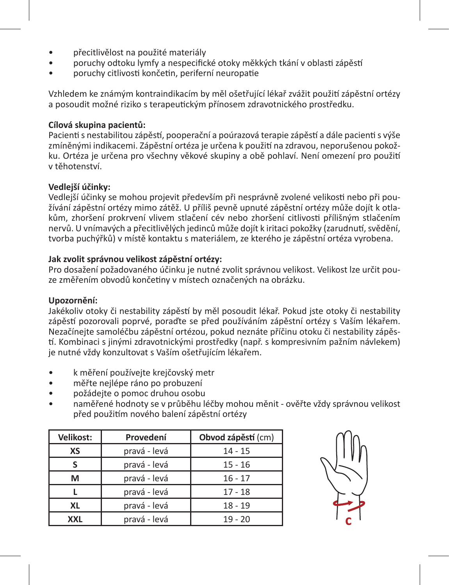- přecitlivělost na použité materiály
- poruchy odtoku lymfy a nespecifické otoky měkkých tkání v oblasti zápěstí
- poruchy citlivosti končetin, periferní neuropatie

Vzhledem ke známým kontraindikacím by měl ošetřující lékař zvážit použití zápěstní ortézy a posoudit možné riziko s terapeutickým přínosem zdravotnického prostředku.

#### **Cílová skupina pacientů:**

Pacienti s nestabilitou zápěstí, pooperační a poúrazová terapie zápěstí a dále pacienti s výše zmíněnými indikacemi. Zápěstní ortéza je určena k použití na zdravou, neporušenou pokožku. Ortéza je určena pro všechny věkové skupiny a obě pohlaví. Není omezení pro použití v těhotenství.

#### **Vedlejší účinky:**

Vedlejší účinky se mohou projevit především při nesprávně zvolené velikosti nebo při používání zápěstní ortézy mimo zátěž. U příliš pevně upnuté zápěstní ortézy může dojít k otlakům, zhoršení prokrvení vlivem stlačení cév nebo zhoršení citlivosti přílišným stlačením nervů. U vnímavých a přecitlivělých jedinců může dojít k iritaci pokožky (zarudnutí, svědění, tvorba puchýřků) v místě kontaktu s materiálem, ze kterého je zápěstní ortéza vyrobena.

#### **Jak zvolit správnou velikost zápěstní ortézy:**

Pro dosažení požadovaného účinku je nutné zvolit správnou velikost. Velikost lze určit pouze změřením obvodů končetiny v místech označených na obrázku.

#### **Upozornění:**

Jakékoliv otoky či nestability zápěstí by měl posoudit lékař. Pokud jste otoky či nestability zápěstí pozorovali poprvé, poraďte se před používáním zápěstní ortézy s Vaším lékařem. Nezačínejte samoléčbu zápěstní ortézou, pokud neznáte příčinu otoku či nestability zápěstí. Kombinaci s jinými zdravotnickými prostředky (např. s kompresivním pažním návlekem) je nutné vždy konzultovat s Vaším ošetřujícím lékařem.

- k měření používejte krejčovský metr
- měřte nejlépe ráno po probuzení
- požádejte o pomoc druhou osobu
- naměřené hodnoty se v průběhu léčby mohou měnit ověřte vždy správnou velikost před použitím nového balení zápěstní ortézy

| Velikost:  | Provedení    | Obvod zápěstí (cm) |
|------------|--------------|--------------------|
| XS         | pravá - levá | $14 - 15$          |
|            | pravá - levá | $15 - 16$          |
| M          | pravá - levá | $16 - 17$          |
|            | pravá - levá | $17 - 18$          |
| XL         | pravá - levá | $18 - 19$          |
| <b>XXL</b> | pravá - levá | $19 - 20$          |

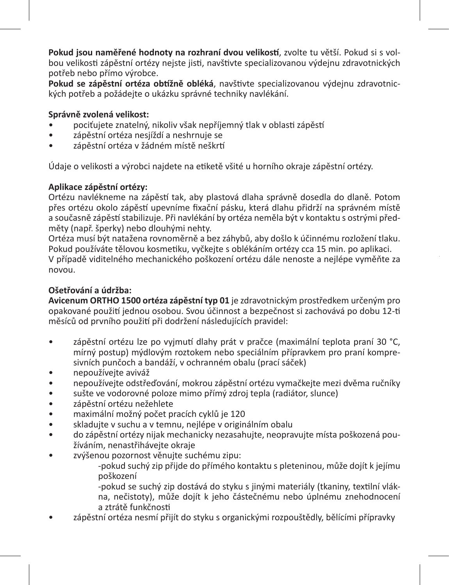**Pokud jsou naměřené hodnoty na rozhraní dvou velikostí**, zvolte tu větší. Pokud si s volbou velikosti zápěstní ortézy nejste jisti, navštivte specializovanou výdejnu zdravotnických potřeb nebo přímo výrobce.

**Pokud se zápěstní ortéza obtížně obléká**, navštivte specializovanou výdejnu zdravotnických potřeb a požádejte o ukázku správné techniky navlékání.

# **Správně zvolená velikost:**

- pociťujete znatelný, nikoliv však nepříjemný tlak v oblasti zápěstí
- zápěstní ortéza nesjíždí a neshrnuje se
- zápěstní ortéza v žádném místě neškrtí

Údaje o velikosti a výrobci najdete na etiketě všité u horního okraje zápěstní ortézy.

#### **Aplikace zápěstní ortézy:**

Ortézu navlékneme na zápěstí tak, aby plastová dlaha správně dosedla do dlaně. Potom přes ortézu okolo zápěstí upevníme fixační pásku, která dlahu přidrží na správném místě a současně zápěstí stabilizuje. Při navlékání by ortéza neměla být v kontaktu s ostrými předměty (např. šperky) nebo dlouhými nehty.

Ortéza musí být natažena rovnoměrně a bez záhybů, aby došlo k účinnému rozložení tlaku. Pokud používáte tělovou kosmetiku, vyčkejte s oblékáním ortézy cca 15 min. po aplikaci. V případě viditelného mechanického poškození ortézu dále nenoste a nejlépe vyměňte za novou.

# **Ošetřování a údržba:**

**Avicenum ORTHO 1500 ortéza zápěstní typ 01** je zdravotnickým prostředkem určeným pro opakované použití jednou osobou. Svou účinnost a bezpečnost si zachovává po dobu 12-ti měsíců od prvního použití při dodržení následujících pravidel:

- zápěstní ortézu lze po vyjmutí dlahy prát v pračce (maximální teplota praní 30 °C, mírný postup) mýdlovým roztokem nebo speciálním přípravkem pro praní kompresivních punčoch a bandáží, v ochranném obalu (prací sáček)
- nepoužívejte aviváž
- nepoužívejte odstřeďování, mokrou zápěstní ortézu vymačkejte mezi dvěma ručníky
- sušte ve vodorovné poloze mimo přímý zdroj tepla (radiátor, slunce)
- zápěstní ortézu nežehlete
- maximální možný počet pracích cyklů je 120
- skladujte v suchu a v temnu, nejlépe v originálním obalu<br>• do záněstní ortézy nijak mechanicky nezasahujte, neonra
- do zápěstní ortézy nijak mechanicky nezasahujte, neopravujte místa poškozená používáním, nenastřihávejte okraje
- zvýšenou pozornost věnujte suchému zipu:

-pokud suchý zip přijde do přímého kontaktu s pleteninou, může dojít k jejímu poškození

-pokud se suchý zip dostává do styku s jinými materiály (tkaniny, textilní vlákna, nečistoty), může dojít k jeho částečnému nebo úplnému znehodnocení a ztrátě funkčnosti

• zápěstní ortéza nesmí přijít do styku s organickými rozpouštědly, bělícími přípravky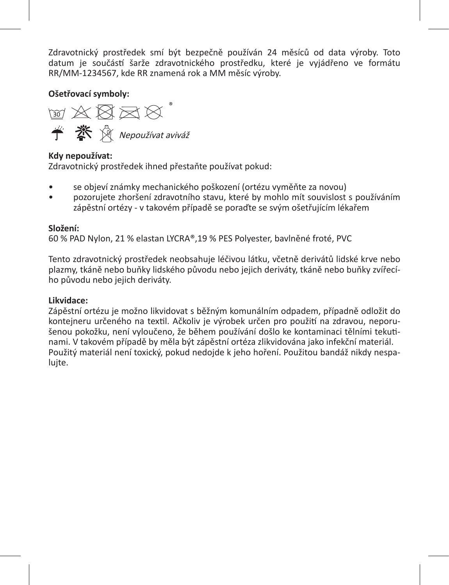Zdravotnický prostředek smí být bezpečně používán 24 měsíců od data výroby. Toto datum je součástí šarže zdravotnického prostředku, které je vyjádřeno ve formátu RR/MM-1234567, kde RR znamená rok a MM měsíc výroby.

**Ošetřovací symboly:** 

Nepoužívat aviváž

# **Kdy nepoužívat:**

Zdravotnický prostředek ihned přestaňte používat pokud:

- se objeví známky mechanického poškození (ortézu vyměňte za novou)
- pozorujete zhoršení zdravotního stavu, které by mohlo mít souvislost s používáním zápěstní ortézy - v takovém případě se poraďte se svým ošetřujícím lékařem

# **Složení:**

60 % PAD Nylon, 21 % elastan LYCRA®,19 % PES Polyester, bavlněné froté, PVC

Tento zdravotnický prostředek neobsahuje léčivou látku, včetně derivátů lidské krve nebo plazmy, tkáně nebo buňky lidského původu nebo jejich deriváty, tkáně nebo buňky zvířecího původu nebo jejich deriváty.

# **Likvidace:**

Zápěstní ortézu je možno likvidovat s běžným komunálním odpadem, případně odložit do kontejneru určeného na textil. Ačkoliv je výrobek určen pro použití na zdravou, neporušenou pokožku, není vyloučeno, že během používání došlo ke kontaminaci tělními tekutinami. V takovém případě by měla být zápěstní ortéza zlikvidována jako infekční materiál. Použitý materiál není toxický, pokud nedojde k jeho hoření. Použitou bandáž nikdy nespalujte.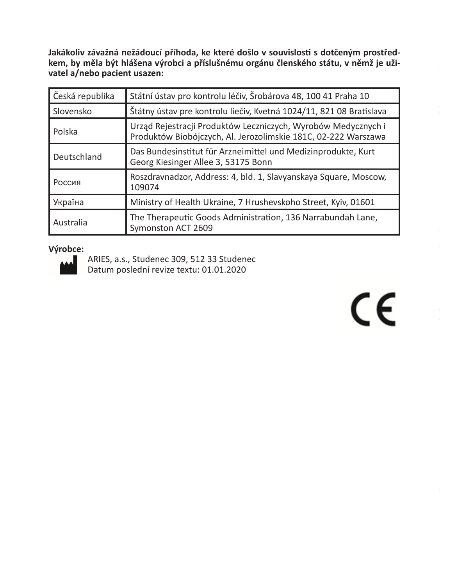**Jakákoliv závažná nežádoucí příhoda, ke které došlo v souvislosti s dotčeným prostředkem, by měla být hlášena výrobci a příslušnému orgánu členského státu, v němž je uživatel a/nebo pacient usazen:**

| Česká republika | Státní ústav pro kontrolu léčiv, Šrobárova 48, 100 41 Praha 10                                                                  |  |
|-----------------|---------------------------------------------------------------------------------------------------------------------------------|--|
| Slovensko       | Štátny ústav pre kontrolu liečiv, Kvetná 1024/11, 821 08 Bratislava                                                             |  |
| l Polska        | Urząd Rejestracji Produktów Leczniczych, Wyrobów Medycznych i<br>Produktów Biobójczych, Al. Jerozolimskie 181C, 02-222 Warszawa |  |
| Deutschland     | Das Bundesinstitut für Arzneimittel und Medizinprodukte, Kurt<br>Georg Kiesinger Allee 3, 53175 Bonn                            |  |
| I Россия        | Roszdravnadzor, Address: 4, bld. 1, Slavyanskaya Square, Moscow,<br>109074                                                      |  |
| Україна         | Ministry of Health Ukraine, 7 Hrushevskoho Street, Kyiv, 01601                                                                  |  |
| l Australia     | The Therapeutic Goods Administration, 136 Narrabundah Lane,<br>Symonston ACT 2609                                               |  |

#### **Výrobce:**



ARIES, a.s., Studenec 309, 512 33 Studenec Datum poslední revize textu: 01.01.2020

 $\epsilon$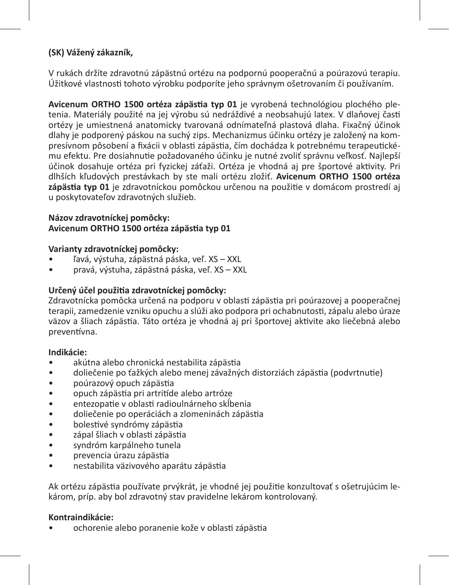# **(SK) Vážený zákazník,**

V rukách držíte zdravotnú zápästnú ortézu na podpornú pooperačnú a poúrazovú terapiu. Úžitkové vlastnosti tohoto výrobku podporíte jeho správnym ošetrovaním či používaním.

**Avicenum ORTHO 1500 ortéza zápästia typ 01** je vyrobená technológiou plochého pletenia. Materiály použité na jej výrobu sú nedráždivé a neobsahujú latex. V dlaňovej časti ortézy je umiestnená anatomicky tvarovaná odnímateľná plastová dlaha. Fixačný účinok dlahy je podporený páskou na suchý zips. Mechanizmus účinku ortézy je založený na kompresívnom pôsobení a fixácii v oblasti zápästia, čím dochádza k potrebnému terapeutickému efektu. Pre dosiahnutie požadovaného účinku je nutné zvoliť správnu veľkosť. Najlepší účinok dosahuje ortéza pri fyzickej záťaži. Ortéza je vhodná aj pre športové aktivity. Pri dlhších kľudových prestávkach by ste mali ortézu zložiť. **Avicenum ORTHO 1500 ortéza zápästia typ 01** je zdravotníckou pomôckou určenou na použitie v domácom prostredí aj u poskytovateľov zdravotných služieb.

#### **Názov zdravotníckej pomôcky: Avicenum ORTHO 1500 ortéza zápästia typ 01**

#### **Varianty zdravotníckej pomôcky:**

- ľavá, výstuha, zápästná páska, veľ. XS XXL
- pravá, výstuha, zápästná páska, veľ. XS XXL

# **Určený účel použitia zdravotníckej pomôcky:**

Zdravotnícka pomôcka určená na podporu v oblasti zápästia pri poúrazovej a pooperačnej terapii, zamedzenie vzniku opuchu a slúži ako podpora pri ochabnutosti, zápalu alebo úraze väzov a šliach zápästia. Táto ortéza je vhodná aj pri športovej aktivite ako liečebná alebo preventívna.

#### **Indikácie:**

- akútna alebo chronická nestabilita zápästia
- doliečenie po ťažkých alebo menej závažných distorziách zápästia (podvrtnutie)
- poúrazový opuch zápästia
- opuch zápästia pri artritíde alebo artróze
- entezopatie v oblasti radioulnárneho skĺbenia
- doliečenie po operáciách a zlomeninách zápästia
- bolestivé syndrómy zápästia
- zápal šliach v oblasti zápästia
- syndróm karpálneho tunela
- prevencia úrazu zápästia
- nestabilita väzivového aparátu zápästia

Ak ortézu zápästia používate prvýkrát, je vhodné jej použitie konzultovať s ošetrujúcim lekárom, príp. aby bol zdravotný stav pravidelne lekárom kontrolovaný.

#### **Kontraindikácie:**

• ochorenie alebo poranenie kože v oblasti zápästia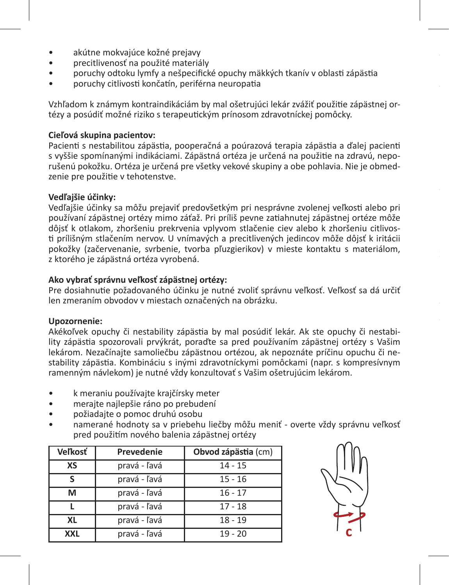- akútne mokvajúce kožné prejavy
- precitlivenosť na použité materiály
- poruchy odtoku lymfy a nešpecifické opuchy mäkkých tkanív v oblasti zápästia
- poruchy citlivosti končatín, periférna neuropatia

Vzhľadom k známym kontraindikáciám by mal ošetrujúci lekár zvážiť použitie zápästnej ortézy a posúdiť možné riziko s terapeutickým prínosom zdravotníckej pomôcky.

#### **Cieľová skupina pacientov:**

Pacienti s nestabilitou zápästia, pooperačná a poúrazová terapia zápästia a ďalej pacienti s vyššie spomínanými indikáciami. Zápästná ortéza je určená na použitie na zdravú, neporušenú pokožku. Ortéza je určená pre všetky vekové skupiny a obe pohlavia. Nie je obmedzenie pre použitie v tehotenstve.

#### **Vedľajšie účinky:**

Vedľajšie účinky sa môžu prejaviť predovšetkým pri nesprávne zvolenej veľkosti alebo pri používaní zápästnej ortézy mimo záťaž. Pri príliš pevne zatiahnutej zápästnej ortéze môže dôjsť k otlakom, zhoršeniu prekrvenia vplyvom stlačenie ciev alebo k zhoršeniu citlivosti prílišným stlačením nervov. U vnímavých a precitlivených jedincov môže dôjsť k iritácii pokožky (začervenanie, svrbenie, tvorba pľuzgierikov) v mieste kontaktu s materiálom, z ktorého je zápästná ortéza vyrobená.

#### **Ako vybrať správnu veľkosť zápästnej ortézy:**

Pre dosiahnutie požadovaného účinku je nutné zvoliť správnu veľkosť. Veľkosť sa dá určiť len zmeraním obvodov v miestach označených na obrázku.

#### **Upozornenie:**

Akékoľvek opuchy či nestability zápästia by mal posúdiť lekár. Ak ste opuchy či nestability zápästia spozorovali prvýkrát, poraďte sa pred používaním zápästnej ortézy s Vašim lekárom. Nezačínajte samoliečbu zápästnou ortézou, ak nepoznáte príčinu opuchu či nestability zápästia. Kombináciu s inými zdravotníckymi pomôckami (napr. s kompresívnym ramenným návlekom) je nutné vždy konzultovať s Vašim ošetrujúcim lekárom.

- k meraniu používajte krajčírsky meter
- merajte najlepšie ráno po prebudení
- požiadajte o pomoc druhú osobu
- namerané hodnoty sa v priebehu liečby môžu meniť overte vždy správnu veľkosť pred použitím nového balenia zápästnej ortézy

| Veľkosť    | Prevedenie   | Obvod zápästia (cm) |
|------------|--------------|---------------------|
| XS         | pravá - ľavá | $14 - 15$           |
|            | pravá - ľavá | $15 - 16$           |
| м          | pravá - ľavá | $16 - 17$           |
|            | pravá - ľavá | $17 - 18$           |
| XL         | pravá - ľavá | $18 - 19$           |
| <b>XXL</b> | pravá - ľavá | $19 - 20$           |

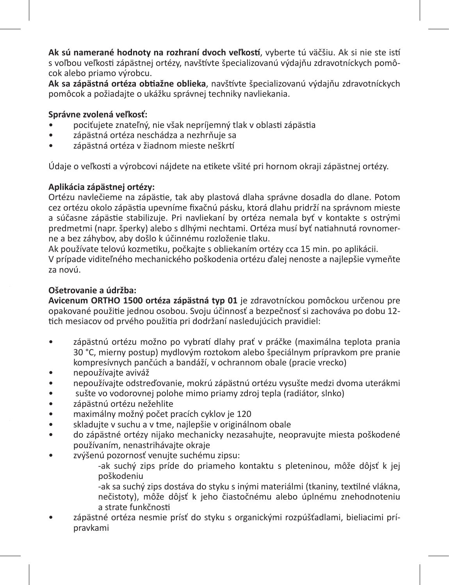**Ak sú namerané hodnoty na rozhraní dvoch veľkostí**, vyberte tú väčšiu. Ak si nie ste istí s voľbou veľkosti zápästnej ortézy, navštívte špecializovanú výdajňu zdravotníckych pomôcok alebo priamo výrobcu.

**Ak sa zápästná ortéza obtiažne oblieka**, navštívte špecializovanú výdajňu zdravotníckych pomôcok a požiadajte o ukážku správnej techniky navliekania.

# **Správne zvolená veľkosť:**

- pociťujete znateľný, nie však nepríjemný tlak v oblasti zápästia
- zápästná ortéza neschádza a nezhrňuje sa
- zápästná ortéza v žiadnom mieste neškrtí

Údaje o veľkosti a výrobcovi nájdete na etikete všité pri hornom okraji zápästnej ortézy.

# **Aplikácia zápästnej ortézy:**

Ortézu navlečieme na zápästie, tak aby plastová dlaha správne dosadla do dlane. Potom cez ortézu okolo zápästia upevníme fixačnú pásku, ktorá dlahu pridrží na správnom mieste a súčasne zápästie stabilizuje. Pri navliekaní by ortéza nemala byť v kontakte s ostrými predmetmi (napr. šperky) alebo s dlhými nechtami. Ortéza musí byť natiahnutá rovnomerne a bez záhybov, aby došlo k účinnému rozloženie tlaku.

Ak používate telovú kozmetiku, počkajte s obliekaním ortézy cca 15 min. po aplikácii. V prípade viditeľného mechanického poškodenia ortézu ďalej nenoste a najlepšie vymeňte za novú.

# **Ošetrovanie a údržba:**

**Avicenum ORTHO 1500 ortéza zápästná typ 01** je zdravotníckou pomôckou určenou pre opakované použitie jednou osobou. Svoju účinnosť a bezpečnosť si zachováva po dobu 12 tich mesiacov od prvého použitia pri dodržaní nasledujúcich pravidiel:

- zápästnú ortézu možno po vybratí dlahy prať v práčke (maximálna teplota prania 30 °C, mierny postup) mydlovým roztokom alebo špeciálnym prípravkom pre pranie kompresívnych pančúch a bandáží, v ochrannom obale (pracie vrecko)
- nepoužívajte aviváž
- nepoužívajte odstreďovanie, mokrú zápästnú ortézu vysušte medzi dvoma uterákmi
- sušte vo vodorovnej polohe mimo priamy zdroj tepla (radiátor, slnko)
- zápästnú ortézu nežehlite
- maximálny možný počet pracích cyklov je 120
- skladujte v suchu a v tme, najlepšie v originálnom obale<br>• odo zápästné ortézy nijako mechanicky nezasahujte, neo
- do zápästné ortézy nijako mechanicky nezasahujte, neopravujte miesta poškodené používaním, nenastrihávajte okraje
- zvýšenú pozornosť venujte suchému zipsu:
	- -ak suchý zips príde do priameho kontaktu s pleteninou, môže dôjsť k jej poškodeniu
	- -ak sa suchý zips dostáva do styku s inými materiálmi (tkaniny, textilné vlákna, nečistoty), môže dôjsť k jeho čiastočnému alebo úplnému znehodnoteniu a strate funkčnosti
- zápästné ortéza nesmie prísť do styku s organickými rozpúšťadlami, bieliacimi prípravkami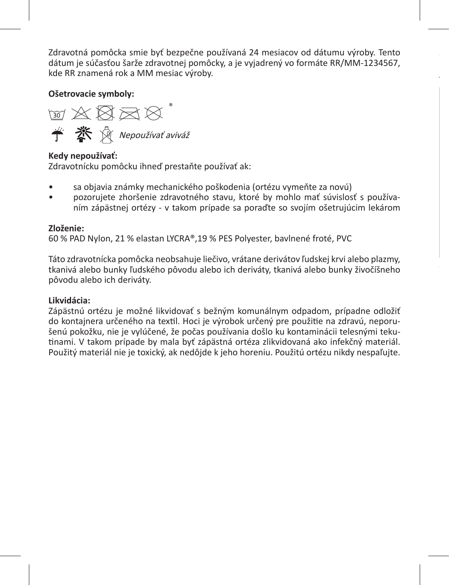Zdravotná pomôcka smie byť bezpečne používaná 24 mesiacov od dátumu výroby. Tento dátum je súčasťou šarže zdravotnej pomôcky, a je vyjadrený vo formáte RR/MM-1234567, kde RR znamená rok a MM mesiac výroby.

**je používateľ a/alebo pacient usadený:** 

**Ošetrovacie symboly:** 

™ ※ 図 ヌ ¤ **个 茶** 《 Nepoužívať aviváž

# **Kedy nepoužívať:**

Zdravotnícku pomôcku ihneď prestaňte používať ak:

- sa objavia známky mechanického poškodenia (ortézu vymeňte za novú)
- pozorujete zhoršenie zdravotného stavu, ktoré by mohlo mať súvislosť s používaním zápästnej ortézy - v takom prípade sa poraďte so svojím ošetrujúcim lekárom

# **Zloženie:**

60 % PAD Nylon, 21 % elastan LYCRA®,19 % PES Polyester, bavlnené froté, PVC

Táto zdravotnícka pomôcka neobsahuje liečivo, vrátane derivátov ľudskej krvi alebo plazmy, tkanivá alebo bunky ľudského pôvodu alebo ich deriváty, tkanivá alebo bunky živočíšneho pôvodu alebo ich deriváty.

# **Likvidácia:**

Zápästnú ortézu je možné likvidovať s bežným komunálnym odpadom, prípadne odložiť do kontajnera určeného na textil. Hoci je výrobok určený pre použitie na zdravú, neporušenú pokožku, nie je vylúčené, že počas používania došlo ku kontaminácii telesnými tekutinami. V takom prípade by mala byť zápästná ortéza zlikvidovaná ako infekčný materiál. Použitý materiál nie je toxický, ak nedôjde k jeho horeniu. Použitú ortézu nikdy nespaľujte.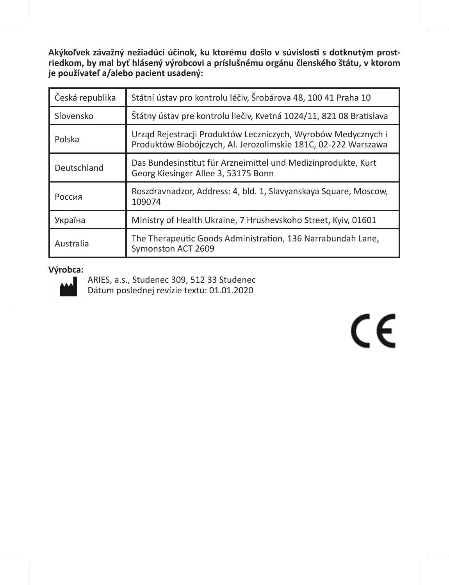**Akýkoľvek závažný nežiadúci účinok, ku ktorému došlo v súvislosti s dotknutým prostriedkom, by mal byť hlásený výrobcovi a príslušnému orgánu členského štátu, v ktorom je používateľ a/alebo pacient usadený:** 

| Česká republika | Státní ústav pro kontrolu léčiv, Šrobárova 48, 100 41 Praha 10                                                                  |  |
|-----------------|---------------------------------------------------------------------------------------------------------------------------------|--|
| Slovensko       | Štátny ústav pre kontrolu liečiv, Kvetná 1024/11, 821 08 Bratislava                                                             |  |
| Polska          | Urząd Rejestracji Produktów Leczniczych, Wyrobów Medycznych i<br>Produktów Biobójczych, Al. Jerozolimskie 181C, 02-222 Warszawa |  |
| Deutschland     | Das Bundesinstitut für Arzneimittel und Medizinprodukte, Kurt<br>Georg Kiesinger Allee 3, 53175 Bonn                            |  |
| Россия          | Roszdravnadzor, Address: 4, bld. 1, Slavyanskaya Square, Moscow,<br>109074                                                      |  |
| Україна         | Ministry of Health Ukraine, 7 Hrushevskoho Street, Kyiv, 01601                                                                  |  |
| Australia       | The Therapeutic Goods Administration, 136 Narrabundah Lane,<br>Symonston ACT 2609                                               |  |

#### **Výrobca:**



ARIES, a.s., Studenec 309, 512 33 Studenec Dátum poslednej revízie textu: 01.01.2020

 $C \in$